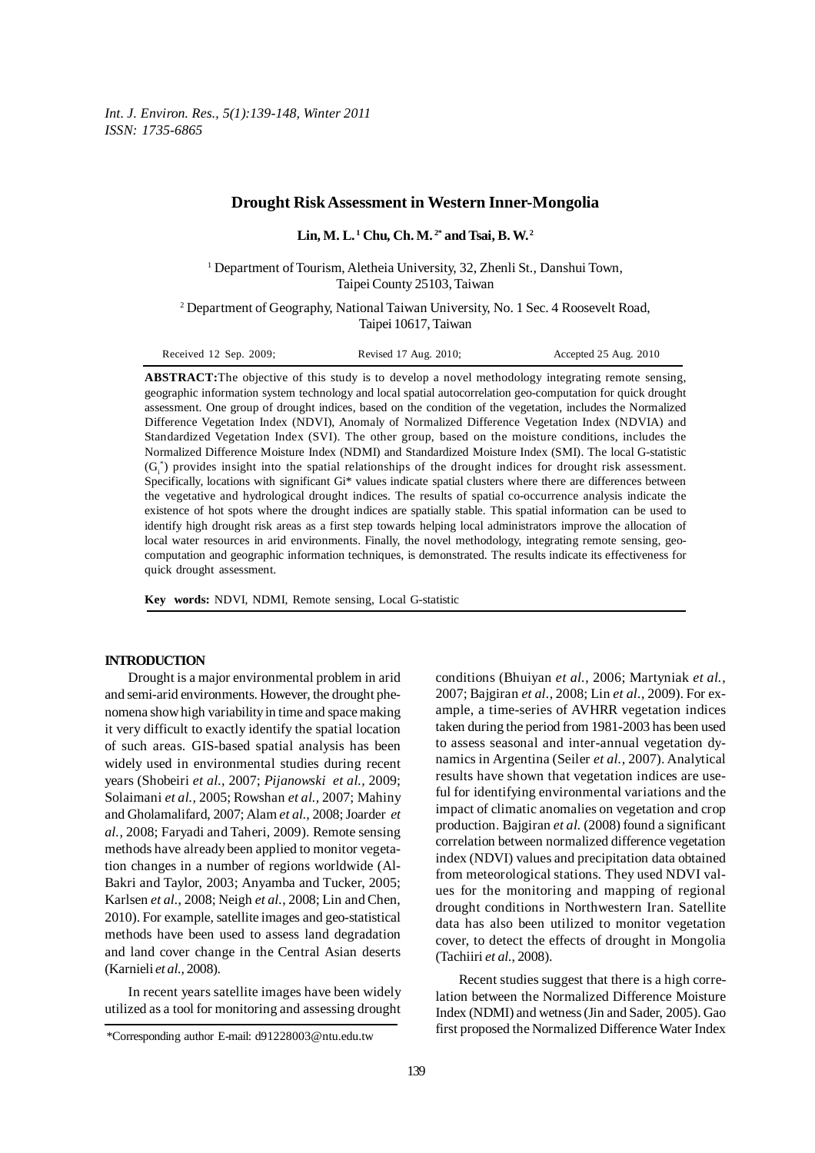*Int. J. Environ. Res., 5(1):139-148, Winter 2011 ISSN: 1735-6865*

# **Drought Risk Assessment in Western Inner-Mongolia**

**Lin, M. L. 1 Chu, Ch. M. 2\* and Tsai, B. W. 2**

<sup>1</sup> Department of Tourism, Aletheia University, 32, Zhenli St., Danshui Town, Taipei County 25103, Taiwan

<sup>2</sup> Department of Geography, National Taiwan University, No. 1 Sec. 4 Roosevelt Road, Taipei 10617, Taiwan

| Received 12 Sep. 2009; | Revised 17 Aug. 2010; | Accepted 25 Aug. 2010 |
|------------------------|-----------------------|-----------------------|
|                        |                       |                       |

**ABSTRACT:**The objective of this study is to develop a novel methodology integrating remote sensing, geographic information system technology and local spatial autocorrelation geo-computation for quick drought assessment. One group of drought indices, based on the condition of the vegetation, includes the Normalized Difference Vegetation Index (NDVI), Anomaly of Normalized Difference Vegetation Index (NDVIA) and Standardized Vegetation Index (SVI). The other group, based on the moisture conditions, includes the Normalized Difference Moisture Index (NDMI) and Standardized Moisture Index (SMI). The local G-statistic  $(G_i^*)$  provides insight into the spatial relationships of the drought indices for drought risk assessment. Specifically, locations with significant Gi\* values indicate spatial clusters where there are differences between the vegetative and hydrological drought indices. The results of spatial co-occurrence analysis indicate the existence of hot spots where the drought indices are spatially stable. This spatial information can be used to identify high drought risk areas as a first step towards helping local administrators improve the allocation of local water resources in arid environments. Finally, the novel methodology, integrating remote sensing, geocomputation and geographic information techniques, is demonstrated. The results indicate its effectiveness for quick drought assessment.

**Key words:** NDVI, NDMI, Remote sensing, Local G-statistic

## **INTRODUCTION**

Drought is a major environmental problem in arid and semi-arid environments. However, the drought phenomena show high variability in time and space making it very difficult to exactly identify the spatial location of such areas. GIS-based spatial analysis has been widely used in environmental studies during recent years (Shobeiri *et al.,* 2007; *Pijanowski et al.,* 2009; Solaimani *et al.,* 2005; Rowshan *et al.,* 2007; Mahiny and Gholamalifard, 2007; Alam *et al.,* 2008; Joarder *et al.,* 2008; Faryadi and Taheri, 2009). Remote sensing methods have already been applied to monitor vegetation changes in a number of regions worldwide (Al-Bakri and Taylor, 2003; Anyamba and Tucker, 2005; Karlsen *et al.*, 2008; Neigh *et al.*, 2008; Lin and Chen, 2010). For example, satellite images and geo-statistical methods have been used to assess land degradation and land cover change in the Central Asian deserts (Karnieli *et al.*, 2008).

In recent years satellite images have been widely utilized as a tool for monitoring and assessing drought conditions (Bhuiyan *et al.*, 2006; Martyniak *et al.*, 2007; Bajgiran *et al.*, 2008; Lin *et al.*, 2009). For example, a time-series of AVHRR vegetation indices taken during the period from 1981-2003 has been used to assess seasonal and inter-annual vegetation dynamics in Argentina (Seiler *et al.*, 2007). Analytical results have shown that vegetation indices are useful for identifying environmental variations and the impact of climatic anomalies on vegetation and crop production. Bajgiran *et al.* (2008) found a significant correlation between normalized difference vegetation index (NDVI) values and precipitation data obtained from meteorological stations. They used NDVI values for the monitoring and mapping of regional drought conditions in Northwestern Iran. Satellite data has also been utilized to monitor vegetation cover, to detect the effects of drought in Mongolia (Tachiiri *et al.*, 2008).

Recent studies suggest that there is a high correlation between the Normalized Difference Moisture Index (NDMI) and wetness (Jin and Sader, 2005). Gao first proposed the Normalized Difference Water Index

<sup>\*</sup>Corresponding author E-mail: d91228003@ntu.edu.tw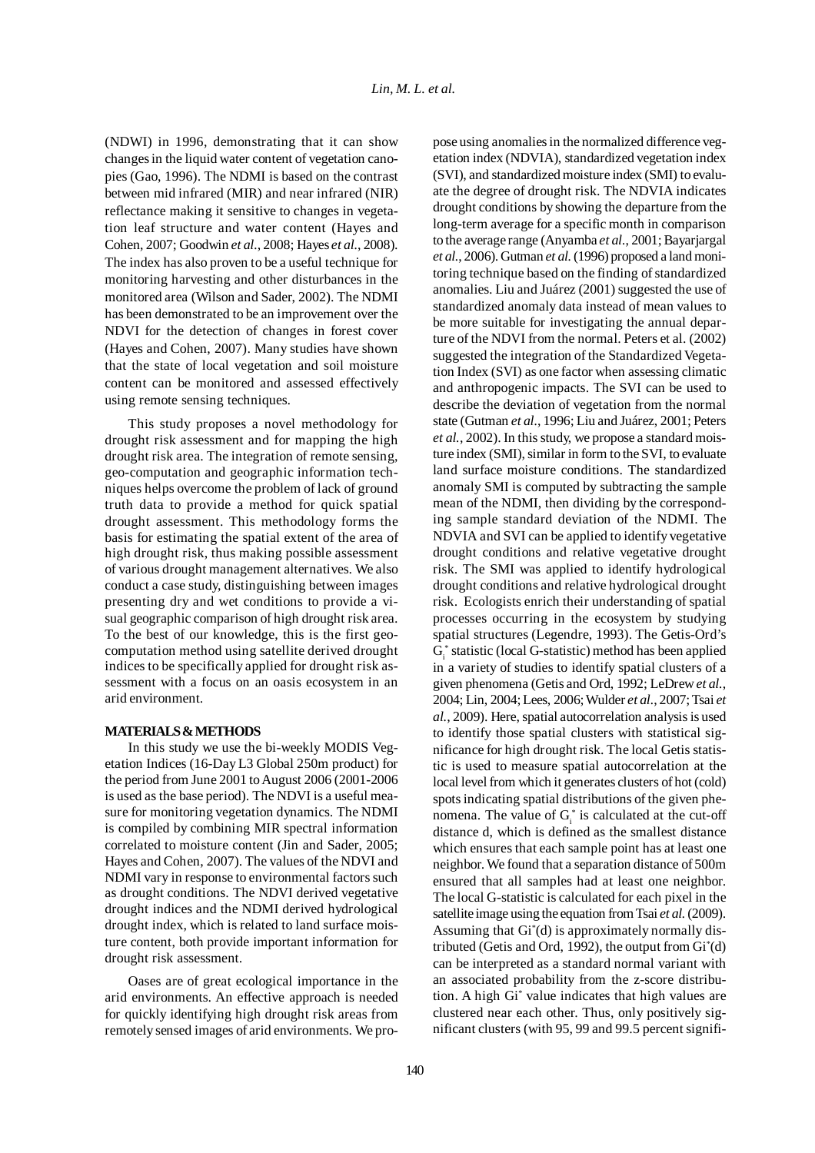(NDWI) in 1996, demonstrating that it can show changes in the liquid water content of vegetation canopies (Gao, 1996). The NDMI is based on the contrast between mid infrared (MIR) and near infrared (NIR) reflectance making it sensitive to changes in vegetation leaf structure and water content (Hayes and Cohen, 2007; Goodwin *et al.*, 2008; Hayes *et al.*, 2008). The index has also proven to be a useful technique for monitoring harvesting and other disturbances in the monitored area (Wilson and Sader, 2002). The NDMI has been demonstrated to be an improvement over the NDVI for the detection of changes in forest cover (Hayes and Cohen, 2007). Many studies have shown that the state of local vegetation and soil moisture content can be monitored and assessed effectively using remote sensing techniques.

This study proposes a novel methodology for drought risk assessment and for mapping the high drought risk area. The integration of remote sensing, geo-computation and geographic information techniques helps overcome the problem of lack of ground truth data to provide a method for quick spatial drought assessment. This methodology forms the basis for estimating the spatial extent of the area of high drought risk, thus making possible assessment of various drought management alternatives. We also conduct a case study, distinguishing between images presenting dry and wet conditions to provide a visual geographic comparison of high drought risk area. To the best of our knowledge, this is the first geocomputation method using satellite derived drought indices to be specifically applied for drought risk assessment with a focus on an oasis ecosystem in an arid environment.

# **MATERIALS & METHODS**

In this study we use the bi-weekly MODIS Vegetation Indices (16-Day L3 Global 250m product) for the period from June 2001 to August 2006 (2001-2006 is used as the base period). The NDVI is a useful measure for monitoring vegetation dynamics. The NDMI is compiled by combining MIR spectral information correlated to moisture content (Jin and Sader, 2005; Hayes and Cohen, 2007). The values of the NDVI and NDMI vary in response to environmental factors such as drought conditions. The NDVI derived vegetative drought indices and the NDMI derived hydrological drought index, which is related to land surface moisture content, both provide important information for drought risk assessment.

Oases are of great ecological importance in the arid environments. An effective approach is needed for quickly identifying high drought risk areas from remotely sensed images of arid environments. We propose using anomalies in the normalized difference vegetation index (NDVIA), standardized vegetation index (SVI), and standardized moisture index (SMI) to evaluate the degree of drought risk. The NDVIA indicates drought conditions by showing the departure from the long-term average for a specific month in comparison to the average range (Anyamba *et al.*, 2001; Bayarjargal *et al.*, 2006). Gutman *et al.* (1996) proposed a land monitoring technique based on the finding of standardized anomalies. Liu and Juárez (2001) suggested the use of standardized anomaly data instead of mean values to be more suitable for investigating the annual departure of the NDVI from the normal. Peters et al. (2002) suggested the integration of the Standardized Vegetation Index (SVI) as one factor when assessing climatic and anthropogenic impacts. The SVI can be used to describe the deviation of vegetation from the normal state (Gutman *et al.*, 1996; Liu and Juárez, 2001; Peters *et al.*, 2002). In this study, we propose a standard moisture index (SMI), similar in form to the SVI, to evaluate land surface moisture conditions. The standardized anomaly SMI is computed by subtracting the sample mean of the NDMI, then dividing by the corresponding sample standard deviation of the NDMI. The NDVIA and SVI can be applied to identify vegetative drought conditions and relative vegetative drought risk. The SMI was applied to identify hydrological drought conditions and relative hydrological drought risk. Ecologists enrich their understanding of spatial processes occurring in the ecosystem by studying spatial structures (Legendre, 1993). The Getis-Ord's G<sub>i</sub> statistic (local G-statistic) method has been applied in a variety of studies to identify spatial clusters of a given phenomena (Getis and Ord, 1992; LeDrew *et al.*, 2004; Lin, 2004; Lees, 2006; Wulder *et al.*, 2007; Tsai *et al.*, 2009). Here, spatial autocorrelation analysis is used to identify those spatial clusters with statistical significance for high drought risk. The local Getis statistic is used to measure spatial autocorrelation at the local level from which it generates clusters of hot (cold) spots indicating spatial distributions of the given phenomena. The value of  $G_i^*$  is calculated at the cut-off distance d, which is defined as the smallest distance which ensures that each sample point has at least one neighbor. We found that a separation distance of 500m ensured that all samples had at least one neighbor. The local G-statistic is calculated for each pixel in the satellite image using the equation from Tsai *et al.* (2009). Assuming that Gi\* (d) is approximately normally distributed (Getis and Ord, 1992), the output from Gi\* (d) can be interpreted as a standard normal variant with an associated probability from the z-score distribution. A high Gi\* value indicates that high values are clustered near each other. Thus, only positively significant clusters (with 95, 99 and 99.5 percent signifi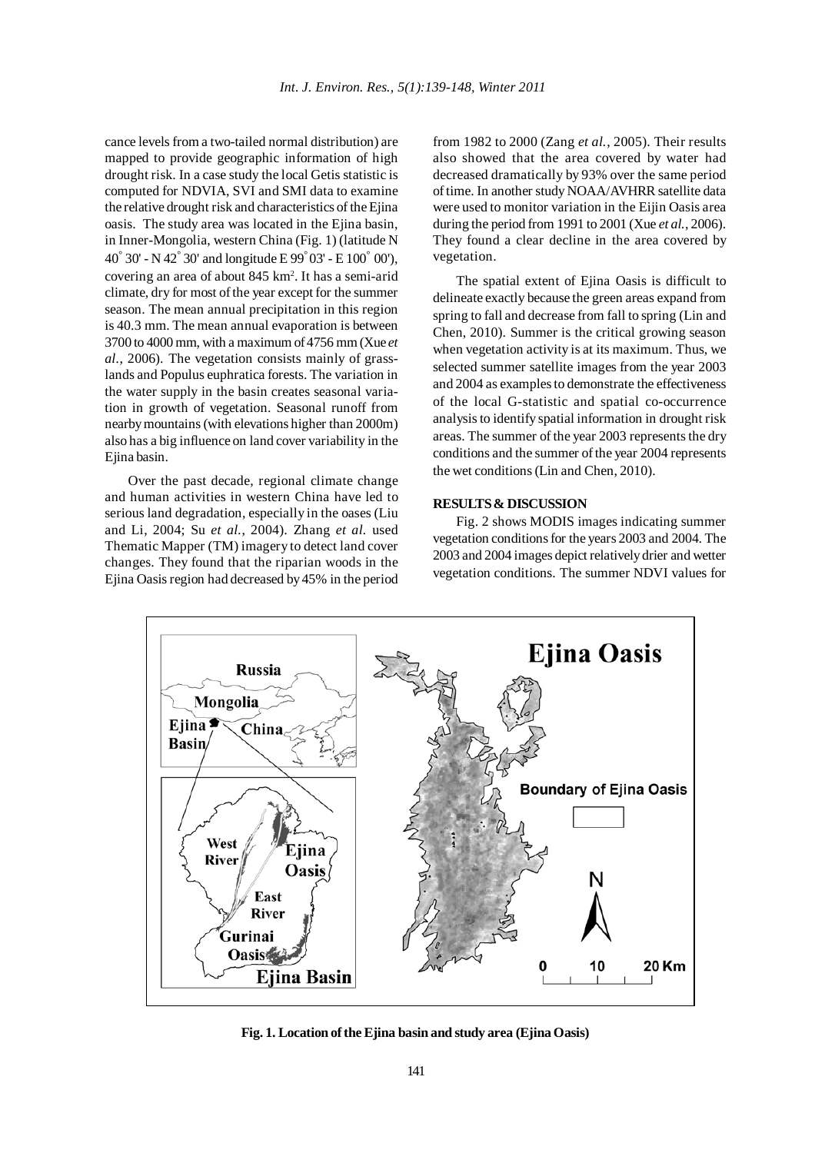cance levels from a two-tailed normal distribution) are mapped to provide geographic information of high drought risk. In a case study the local Getis statistic is computed for NDVIA, SVI and SMI data to examine the relative drought risk and characteristics of the Ejina oasis. The study area was located in the Ejina basin, in Inner-Mongolia, western China (Fig. 1) (latitude N 40° 30' - N 42° 30' and longitude E 99° 03' - E 100° 00'), covering an area of about 845 km2 . It has a semi-arid climate, dry for most of the year except for the summer season. The mean annual precipitation in this region is 40.3 mm. The mean annual evaporation is between 3700 to 4000 mm, with a maximum of 4756 mm (Xue *et al.*, 2006). The vegetation consists mainly of grasslands and Populus euphratica forests. The variation in the water supply in the basin creates seasonal variation in growth of vegetation. Seasonal runoff from nearby mountains (with elevations higher than 2000m) also has a big influence on land cover variability in the Ejina basin.

Over the past decade, regional climate change and human activities in western China have led to serious land degradation, especially in the oases (Liu and Li, 2004; Su *et al.*, 2004). Zhang *et al.* used Thematic Mapper (TM) imagery to detect land cover changes. They found that the riparian woods in the Ejina Oasis region had decreased by 45% in the period from 1982 to 2000 (Zang *et al.*, 2005). Their results also showed that the area covered by water had decreased dramatically by 93% over the same period of time. In another study NOAA/AVHRR satellite data were used to monitor variation in the Eijin Oasis area during the period from 1991 to 2001 (Xue *et al.*, 2006). They found a clear decline in the area covered by vegetation.

The spatial extent of Ejina Oasis is difficult to delineate exactly because the green areas expand from spring to fall and decrease from fall to spring (Lin and Chen, 2010). Summer is the critical growing season when vegetation activity is at its maximum. Thus, we selected summer satellite images from the year 2003 and 2004 as examples to demonstrate the effectiveness of the local G-statistic and spatial co-occurrence analysis to identify spatial information in drought risk areas. The summer of the year 2003 represents the dry conditions and the summer of the year 2004 represents the wet conditions (Lin and Chen, 2010).

# **RESULTS & DISCUSSION**

Fig. 2 shows MODIS images indicating summer vegetation conditions for the years 2003 and 2004. The 2003 and 2004 images depict relatively drier and wetter vegetation conditions. The summer NDVI values for



**Fig. 1. Location of the Ejina basin and study area (Ejina Oasis)**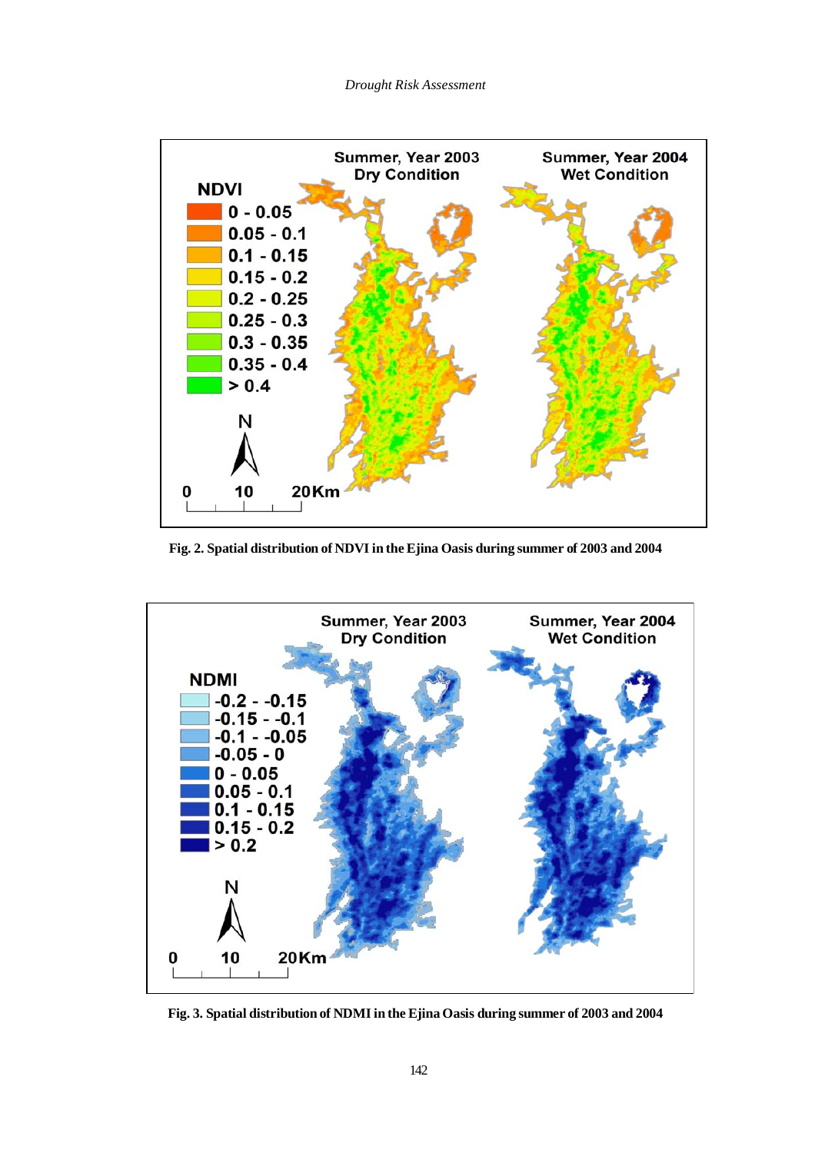

**Fig. 2. Spatial distribution of NDVI in the Ejina Oasis during summer of 2003 and 2004**



**Fig. 3. Spatial distribution of NDMI in the Ejina Oasis during summer of 2003 and 2004**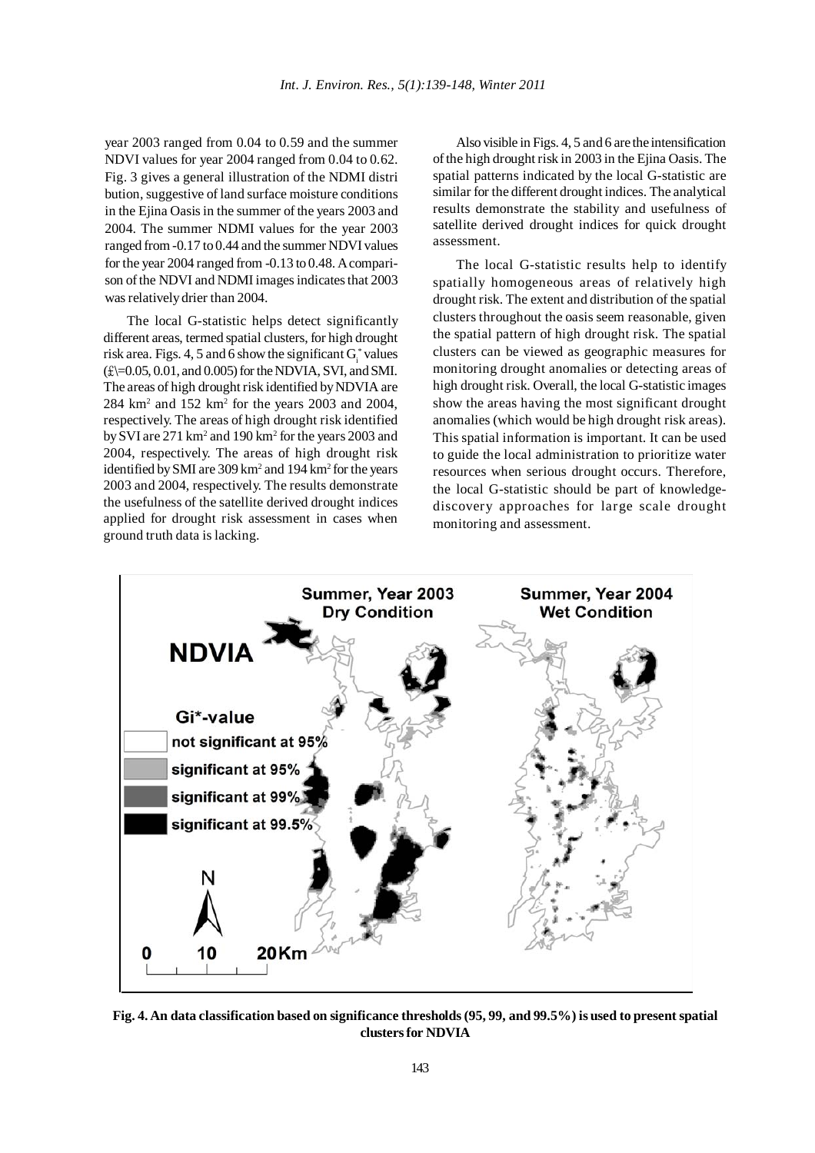year 2003 ranged from 0.04 to 0.59 and the summer NDVI values for year 2004 ranged from 0.04 to 0.62. Fig. 3 gives a general illustration of the NDMI distri bution, suggestive of land surface moisture conditions in the Ejina Oasis in the summer of the years 2003 and 2004. The summer NDMI values for the year 2003 ranged from -0.17 to 0.44 and the summer NDVI values for the year 2004 ranged from -0.13 to 0.48. A comparison of the NDVI and NDMI images indicates that 2003 was relatively drier than 2004.

The local G-statistic helps detect significantly different areas, termed spatial clusters, for high drought risk area. Figs. 4, 5 and 6 show the significant  $G_i^*$  values  $(\text{\textsterling})=0.05, 0.01,$  and  $(0.005)$  for the NDVIA, SVI, and SMI. The areas of high drought risk identified by NDVIA are 284 km<sup>2</sup> and 152 km<sup>2</sup> for the years 2003 and 2004, respectively. The areas of high drought risk identified by SVI are 271 km<sup>2</sup> and 190 km<sup>2</sup> for the years 2003 and 2004, respectively. The areas of high drought risk identified by SMI are 309 km<sup>2</sup> and 194 km<sup>2</sup> for the years 2003 and 2004, respectively. The results demonstrate the usefulness of the satellite derived drought indices applied for drought risk assessment in cases when ground truth data is lacking.

Also visible in Figs. 4, 5 and 6 are the intensification of the high drought risk in 2003 in the Ejina Oasis. The spatial patterns indicated by the local G-statistic are similar for the different drought indices. The analytical results demonstrate the stability and usefulness of satellite derived drought indices for quick drought assessment.

The local G-statistic results help to identify spatially homogeneous areas of relatively high drought risk. The extent and distribution of the spatial clusters throughout the oasis seem reasonable, given the spatial pattern of high drought risk. The spatial clusters can be viewed as geographic measures for monitoring drought anomalies or detecting areas of high drought risk. Overall, the local G-statistic images show the areas having the most significant drought anomalies (which would be high drought risk areas). This spatial information is important. It can be used to guide the local administration to prioritize water resources when serious drought occurs. Therefore, the local G-statistic should be part of knowledgediscovery approaches for large scale drought monitoring and assessment.



**Fig. 4. An data classification based on significance thresholds (95, 99, and 99.5%) is used to present spatial clusters for NDVIA**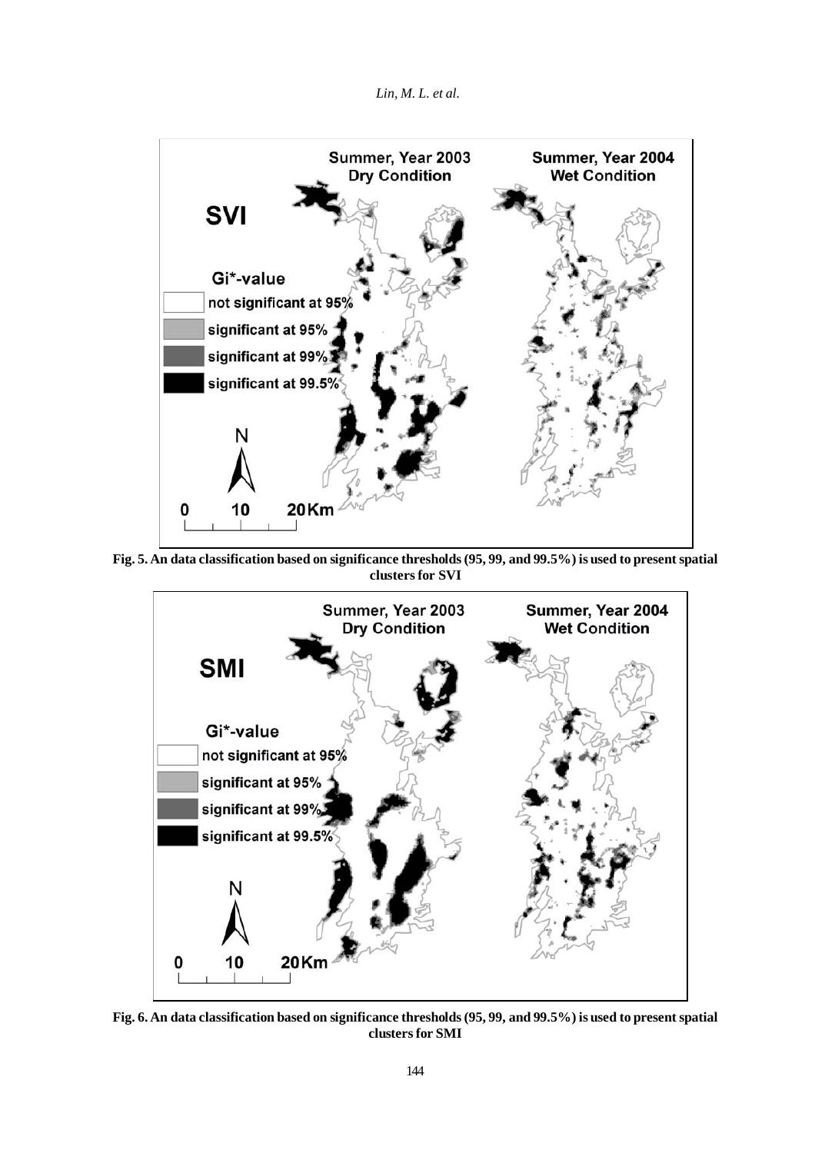



**Fig. 5. An data classification based on significance thresholds (95, 99, and 99.5%) is used to present spatial clusters for SVI**



**Fig. 6. An data classification based on significance thresholds (95, 99, and 99.5%) is used to present spatial clusters for SMI**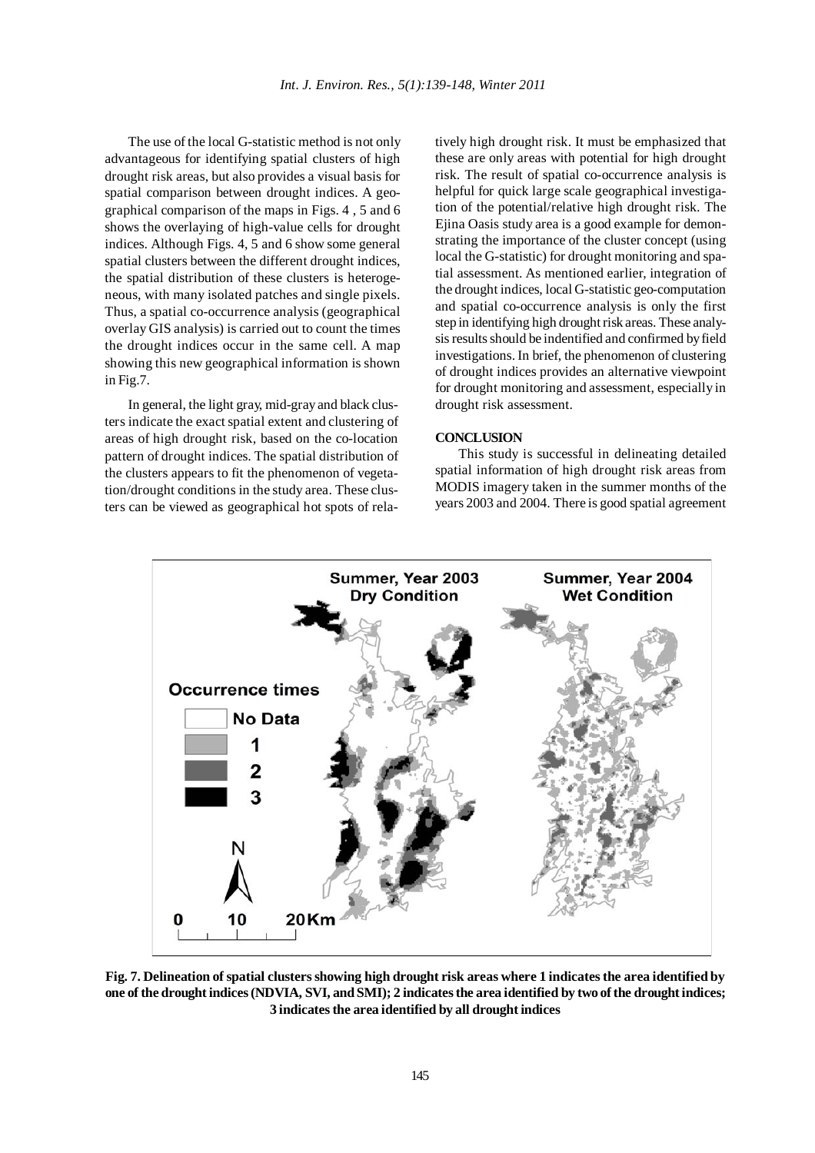The use of the local G-statistic method is not only advantageous for identifying spatial clusters of high drought risk areas, but also provides a visual basis for spatial comparison between drought indices. A geographical comparison of the maps in Figs. 4 , 5 and 6 shows the overlaying of high-value cells for drought indices. Although Figs. 4, 5 and 6 show some general spatial clusters between the different drought indices, the spatial distribution of these clusters is heterogeneous, with many isolated patches and single pixels. Thus, a spatial co-occurrence analysis (geographical overlay GIS analysis) is carried out to count the times the drought indices occur in the same cell. A map showing this new geographical information is shown in Fig.7.

In general, the light gray, mid-gray and black clusters indicate the exact spatial extent and clustering of areas of high drought risk, based on the co-location pattern of drought indices. The spatial distribution of the clusters appears to fit the phenomenon of vegetation/drought conditions in the study area. These clusters can be viewed as geographical hot spots of relatively high drought risk. It must be emphasized that these are only areas with potential for high drought risk. The result of spatial co-occurrence analysis is helpful for quick large scale geographical investigation of the potential/relative high drought risk. The Ejina Oasis study area is a good example for demonstrating the importance of the cluster concept (using local the G-statistic) for drought monitoring and spatial assessment. As mentioned earlier, integration of the drought indices, local G-statistic geo-computation and spatial co-occurrence analysis is only the first step in identifying high drought risk areas. These analysis results should be indentified and confirmed by field investigations. In brief, the phenomenon of clustering of drought indices provides an alternative viewpoint for drought monitoring and assessment, especially in drought risk assessment.

## **CONCLUSION**

This study is successful in delineating detailed spatial information of high drought risk areas from MODIS imagery taken in the summer months of the years 2003 and 2004. There is good spatial agreement



**Fig. 7. Delineation of spatial clusters showing high drought risk areas where 1 indicates the area identified by one of the drought indices (NDVIA, SVI, and SMI); 2 indicates the area identified by two of the drought indices; 3 indicates the area identified by all drought indices**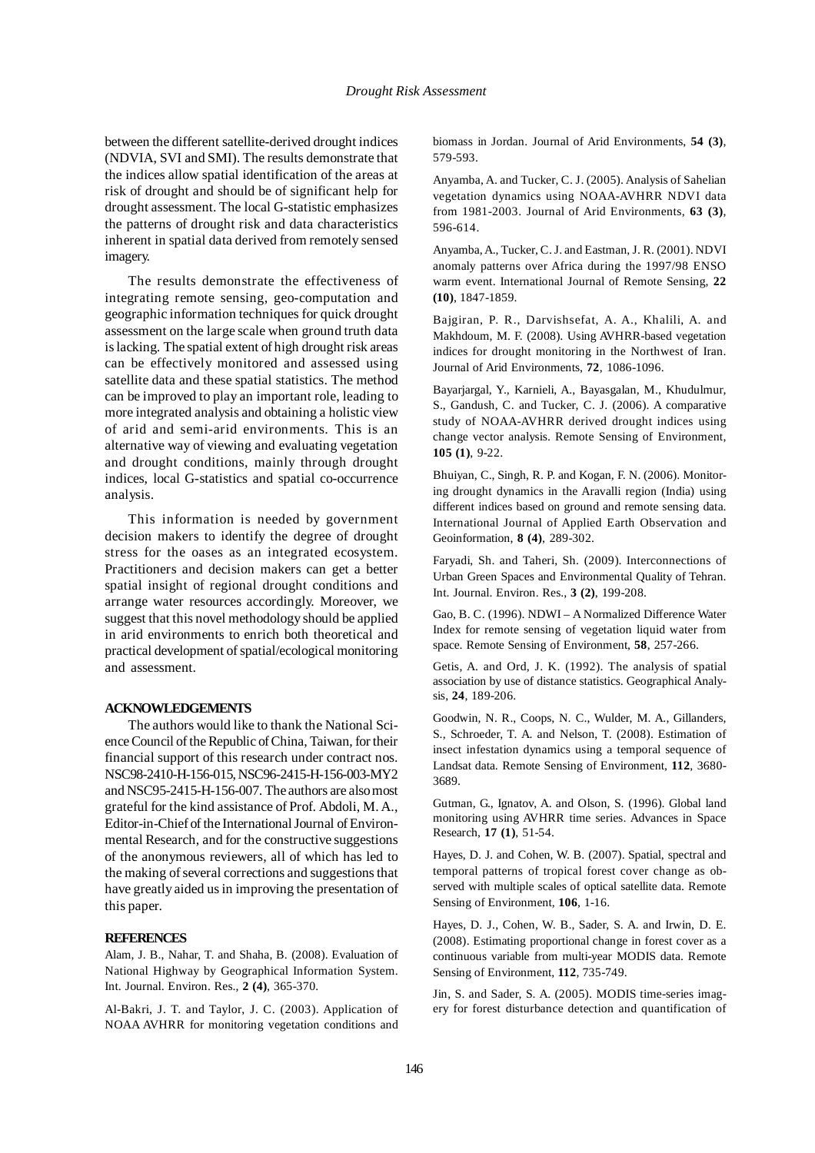### *Drought Risk Assessment*

between the different satellite-derived drought indices (NDVIA, SVI and SMI). The results demonstrate that the indices allow spatial identification of the areas at risk of drought and should be of significant help for drought assessment. The local G-statistic emphasizes the patterns of drought risk and data characteristics inherent in spatial data derived from remotely sensed imagery.

The results demonstrate the effectiveness of integrating remote sensing, geo-computation and geographic information techniques for quick drought assessment on the large scale when ground truth data is lacking. The spatial extent of high drought risk areas can be effectively monitored and assessed using satellite data and these spatial statistics. The method can be improved to play an important role, leading to more integrated analysis and obtaining a holistic view of arid and semi-arid environments. This is an alternative way of viewing and evaluating vegetation and drought conditions, mainly through drought indices, local G-statistics and spatial co-occurrence analysis.

This information is needed by government decision makers to identify the degree of drought stress for the oases as an integrated ecosystem. Practitioners and decision makers can get a better spatial insight of regional drought conditions and arrange water resources accordingly. Moreover, we suggest that this novel methodology should be applied in arid environments to enrich both theoretical and practical development of spatial/ecological monitoring and assessment.

## **ACKNOWLEDGEMENTS**

The authors would like to thank the National Science Council of the Republic of China, Taiwan, for their financial support of this research under contract nos. NSC98-2410-H-156-015, NSC96-2415-H-156-003-MY2 and NSC95-2415-H-156-007. The authors are also most grateful for the kind assistance of Prof. Abdoli, M. A., Editor-in-Chief of the International Journal of Environmental Research, and for the constructive suggestions of the anonymous reviewers, all of which has led to the making of several corrections and suggestions that have greatly aided us in improving the presentation of this paper.

### **REFERENCES**

Alam, J. B., Nahar, T. and Shaha, B. (2008). Evaluation of National Highway by Geographical Information System. Int. Journal. Environ. Res., **2 (4)**, 365-370.

Al-Bakri, J. T. and Taylor, J. C. (2003). Application of NOAA AVHRR for monitoring vegetation conditions and

biomass in Jordan. Journal of Arid Environments, **54 (3)**, 579-593.

Anyamba, A. and Tucker, C. J. (2005). Analysis of Sahelian vegetation dynamics using NOAA-AVHRR NDVI data from 1981-2003. Journal of Arid Environments, **63 (3)**, 596-614.

Anyamba, A., Tucker, C. J. and Eastman, J. R. (2001). NDVI anomaly patterns over Africa during the 1997/98 ENSO warm event. International Journal of Remote Sensing, **22 (10)**, 1847-1859.

Bajgiran, P. R., Darvishsefat, A. A., Khalili, A. and Makhdoum, M. F. (2008). Using AVHRR-based vegetation indices for drought monitoring in the Northwest of Iran. Journal of Arid Environments, **72**, 1086-1096.

Bayarjargal, Y., Karnieli, A., Bayasgalan, M., Khudulmur, S., Gandush, C. and Tucker, C. J. (2006). A comparative study of NOAA-AVHRR derived drought indices using change vector analysis. Remote Sensing of Environment, **105 (1)**, 9-22.

Bhuiyan, C., Singh, R. P. and Kogan, F. N. (2006). Monitoring drought dynamics in the Aravalli region (India) using different indices based on ground and remote sensing data. International Journal of Applied Earth Observation and Geoinformation, **8 (4)**, 289-302.

Faryadi, Sh. and Taheri, Sh. (2009). Interconnections of Urban Green Spaces and Environmental Quality of Tehran. Int. Journal. Environ. Res., **3 (2)**, 199-208.

Gao, B. C. (1996). NDWI – A Normalized Difference Water Index for remote sensing of vegetation liquid water from space. Remote Sensing of Environment, **58**, 257-266.

Getis, A. and Ord, J. K. (1992). The analysis of spatial association by use of distance statistics. Geographical Analysis, **24**, 189-206.

Goodwin, N. R., Coops, N. C., Wulder, M. A., Gillanders, S., Schroeder, T. A. and Nelson, T. (2008). Estimation of insect infestation dynamics using a temporal sequence of Landsat data. Remote Sensing of Environment, **112**, 3680- 3689.

Gutman, G., Ignatov, A. and Olson, S. (1996). Global land monitoring using AVHRR time series. Advances in Space Research, **17 (1)**, 51-54.

Hayes, D. J. and Cohen, W. B. (2007). Spatial, spectral and temporal patterns of tropical forest cover change as observed with multiple scales of optical satellite data. Remote Sensing of Environment, **106**, 1-16.

Hayes, D. J., Cohen, W. B., Sader, S. A. and Irwin, D. E. (2008). Estimating proportional change in forest cover as a continuous variable from multi-year MODIS data. Remote Sensing of Environment, **112**, 735-749.

Jin, S. and Sader, S. A. (2005). MODIS time-series imagery for forest disturbance detection and quantification of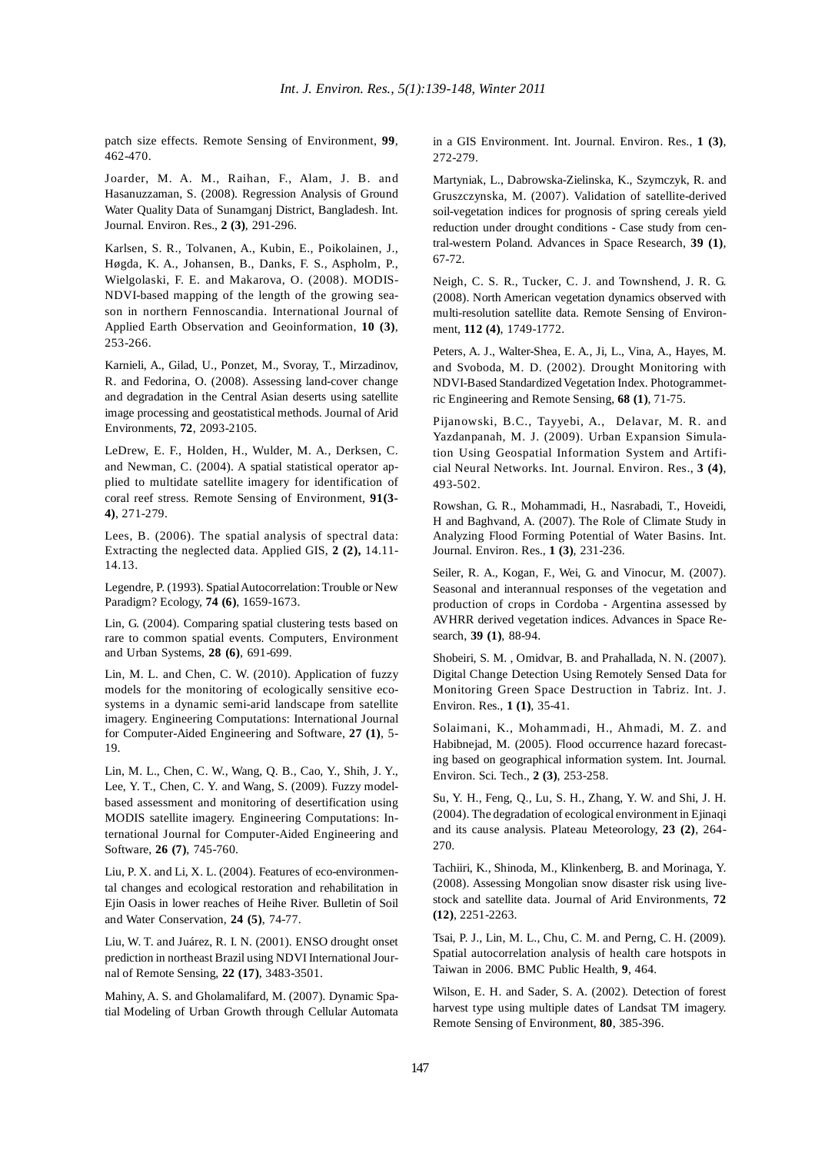patch size effects. Remote Sensing of Environment, **99**, 462-470.

Joarder, M. A. M., Raihan, F., Alam, J. B. and Hasanuzzaman, S. (2008). Regression Analysis of Ground Water Quality Data of Sunamganj District, Bangladesh. Int. Journal. Environ. Res., **2 (3)**, 291-296.

Karlsen, S. R., Tolvanen, A., Kubin, E., Poikolainen, J., Høgda, K. A., Johansen, B., Danks, F. S., Aspholm, P., Wielgolaski, F. E. and Makarova, O. (2008). MODIS-NDVI-based mapping of the length of the growing season in northern Fennoscandia. International Journal of Applied Earth Observation and Geoinformation, **10 (3)**, 253-266.

Karnieli, A., Gilad, U., Ponzet, M., Svoray, T., Mirzadinov, R. and Fedorina, O. (2008). Assessing land-cover change and degradation in the Central Asian deserts using satellite image processing and geostatistical methods. Journal of Arid Environments, **72**, 2093-2105.

LeDrew, E. F., Holden, H., Wulder, M. A., Derksen, C. and Newman, C. (2004). A spatial statistical operator applied to multidate satellite imagery for identification of coral reef stress. Remote Sensing of Environment, **91(3- 4)**, 271-279.

Lees, B. (2006). The spatial analysis of spectral data: Extracting the neglected data. Applied GIS, **2 (2),** 14.11- 14.13.

Legendre, P. (1993). Spatial Autocorrelation: Trouble or New Paradigm? Ecology, **74 (6)**, 1659-1673.

Lin, G. (2004). Comparing spatial clustering tests based on rare to common spatial events. Computers, Environment and Urban Systems, **28 (6)**, 691-699.

Lin, M. L. and Chen, C. W. (2010). Application of fuzzy models for the monitoring of ecologically sensitive ecosystems in a dynamic semi-arid landscape from satellite imagery. Engineering Computations: International Journal for Computer-Aided Engineering and Software, **27 (1)**, 5- 19.

Lin, M. L., Chen, C. W., Wang, Q. B., Cao, Y., Shih, J. Y., Lee, Y. T., Chen, C. Y. and Wang, S. (2009). Fuzzy modelbased assessment and monitoring of desertification using MODIS satellite imagery. Engineering Computations: International Journal for Computer-Aided Engineering and Software, **26 (7)**, 745-760.

Liu, P. X. and Li, X. L. (2004). Features of eco-environmental changes and ecological restoration and rehabilitation in Ejin Oasis in lower reaches of Heihe River. Bulletin of Soil and Water Conservation, **24 (5)**, 74-77.

Liu, W. T. and Juárez, R. I. N. (2001). ENSO drought onset prediction in northeast Brazil using NDVI International Journal of Remote Sensing, **22 (17)**, 3483-3501.

Mahiny, A. S. and Gholamalifard, M. (2007). Dynamic Spatial Modeling of Urban Growth through Cellular Automata in a GIS Environment. Int. Journal. Environ. Res., **1 (3)**, 272-279.

Martyniak, L., Dabrowska-Zielinska, K., Szymczyk, R. and Gruszczynska, M. (2007). Validation of satellite-derived soil-vegetation indices for prognosis of spring cereals yield reduction under drought conditions - Case study from central-western Poland. Advances in Space Research, **39 (1)**, 67-72.

Neigh, C. S. R., Tucker, C. J. and Townshend, J. R. G. (2008). North American vegetation dynamics observed with multi-resolution satellite data. Remote Sensing of Environment, **112 (4)**, 1749-1772.

Peters, A. J., Walter-Shea, E. A., Ji, L., Vina, A., Hayes, M. and Svoboda, M. D. (2002). Drought Monitoring with NDVI-Based Standardized Vegetation Index. Photogrammetric Engineering and Remote Sensing, **68 (1)**, 71-75.

Pijanowski, B.C., Tayyebi, A., Delavar, M. R. and Yazdanpanah, M. J. (2009). Urban Expansion Simulation Using Geospatial Information System and Artificial Neural Networks. Int. Journal. Environ. Res., **3 (4)**, 493-502.

Rowshan, G. R., Mohammadi, H., Nasrabadi, T., Hoveidi, H and Baghvand, A. (2007). The Role of Climate Study in Analyzing Flood Forming Potential of Water Basins. Int. Journal. Environ. Res., **1 (3)**, 231-236.

Seiler, R. A., Kogan, F., Wei, G. and Vinocur, M. (2007). Seasonal and interannual responses of the vegetation and production of crops in Cordoba - Argentina assessed by AVHRR derived vegetation indices. Advances in Space Research, **39 (1)**, 88-94.

Shobeiri, S. M. , Omidvar, B. and Prahallada, N. N. (2007). Digital Change Detection Using Remotely Sensed Data for Monitoring Green Space Destruction in Tabriz. Int. J. Environ. Res., **1 (1)**, 35-41.

Solaimani, K., Mohammadi, H., Ahmadi, M. Z. and Habibnejad, M. (2005). Flood occurrence hazard forecasting based on geographical information system. Int. Journal. Environ. Sci. Tech., **2 (3)**, 253-258.

Su, Y. H., Feng, Q., Lu, S. H., Zhang, Y. W. and Shi, J. H. (2004). The degradation of ecological environment in Ejinaqi and its cause analysis. Plateau Meteorology, **23 (2)**, 264- 270.

Tachiiri, K., Shinoda, M., Klinkenberg, B. and Morinaga, Y. (2008). Assessing Mongolian snow disaster risk using livestock and satellite data. Journal of Arid Environments, **72 (12)**, 2251-2263.

Tsai, P. J., Lin, M. L., Chu, C. M. and Perng, C. H. (2009). Spatial autocorrelation analysis of health care hotspots in Taiwan in 2006. BMC Public Health, **9**, 464.

Wilson, E. H. and Sader, S. A. (2002). Detection of forest harvest type using multiple dates of Landsat TM imagery. Remote Sensing of Environment, **80**, 385-396.